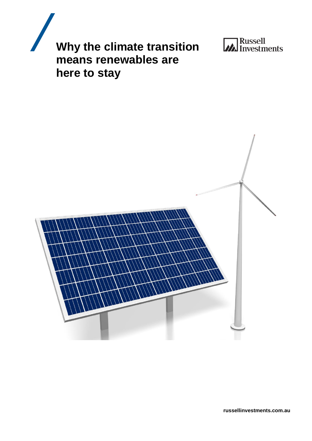





**russellinvestments.com.au**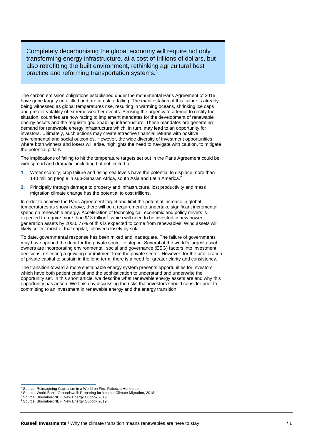Completely decarbonising the global economy will require not only transforming energy infrastructure, at a cost of trillions of dollars, but also retrofitting the built environment, rethinking agricultural best practice and reforming transportation systems.<sup>1</sup>

The carbon emission obligations established under the monumental Paris Agreement of 2015 have gone largely unfulfilled and are at risk of failing. The manifestation of this failure is already being witnessed as global temperatures rise, resulting in warming oceans, shrinking ice caps and greater volatility of extreme weather events. Sensing the urgency to attempt to rectify the situation, countries are now racing to implement mandates for the development of renewable energy assets and the requisite grid enabling infrastructure. These mandates are generating demand for renewable energy infrastructure which, in turn, may lead to an opportunity for investors. Ultimately, such actions may create attractive financial returns with positive environmental and social outcomes. However, the wide diversity of investment opportunities, where both winners and losers will arise, highlights the need to navigate with caution, to mitigate the potential pitfalls.

The implications of failing to hit the temperature targets set out in the Paris Agreement could be widespread and dramatic, including but not limited to:

- **1.** Water scarcity, crop failure and rising sea levels have the potential to displace more than 140 million people in sub-Saharan Africa, south Asia and Latin America.<sup>2</sup>
- **2.** Principally through damage to property and infrastructure, lost productivity and mass migration climate change has the potential to cost trillions.

In order to achieve the Paris Agreement target and limit the potential increase in global temperatures as shown above, there will be a requirement to undertake significant incremental spend on renewable energy. Acceleration of technological, economic and policy drivers is expected to require more than \$13 trillion<sup>3</sup>, which will need to be invested in new power generation assets by 2050. 77% of this is expected to come from renewables. Wind assets will likely collect most of that capital, followed closely by solar.<sup>4</sup>

To date, governmental response has been mixed and inadequate. The failure of governments may have opened the door for the private sector to step in. Several of the world's largest asset owners are incorporating environmental, social and governance (ESG) factors into investment decisions, reflecting a growing commitment from the private sector. However, for the proliferation of private capital to sustain in the long term, there is a need for greater clarity and consistency.

The transition toward a more sustainable energy system presents opportunities for investors which have both patient capital and the sophistication to understand and underwrite the opportunity set. In this short article, we describe what renewable energy assets are and why this opportunity has arisen. We finish by discussing the risks that investors should consider prior to committing to an investment in renewable energy and the energy transition.

<sup>&</sup>lt;sup>1</sup> Source: Reimagining Capitalism in a World on Fire, Rebecca Henderson.

<sup>2</sup> Source: World Bank, Groundswell: Preparing for Internal Climate Migration, 2018.

<sup>3</sup> Source: BloombergNEF, New Energy Outlook 2019.

<sup>4</sup> Source: BloombergNEF, New Energy Outlook 2019.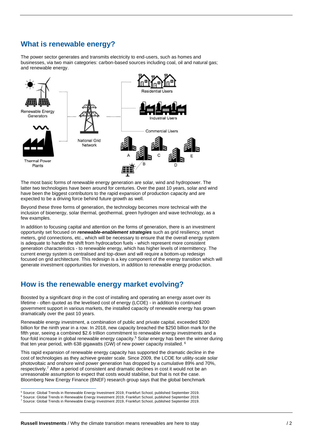# **What is renewable energy?**

The power sector generates and transmits electricity to end-users, such as homes and businesses, via two main categories: carbon-based sources including coal, oil and natural gas; and renewable energy.



The most basic forms of renewable energy generation are solar, wind and hydropower. The latter two technologies have been around for centuries. Over the past 10 years, solar and wind have been the biggest contributors to the rapid expansion of production capacity and are expected to be a driving force behind future growth as well.

Beyond these three forms of generation, the technology becomes more technical with the inclusion of bioenergy, solar thermal, geothermal, green hydrogen and wave technology, as a few examples.

In addition to focusing capital and attention on the forms of generation, there is an investment opportunity set focused on *renewable-enablement strategies* such as grid resiliency, smart meters, grid connections, etc., which will be necessary to ensure that the overall energy system is adequate to handle the shift from hydrocarbon fuels - which represent more consistent generation characteristics - to renewable energy, which has higher levels of intermittency. The current energy system is centralised and top-down and will require a bottom-up redesign focused on grid architecture. This redesign is a key component of the energy transition which will generate investment opportunities for investors, in addition to renewable energy production.

## **How is the renewable energy market evolving?**

Boosted by a significant drop in the cost of installing and operating an energy asset over its lifetime - often quoted as the levelised cost of energy (LCOE) - in addition to continued government support in various markets, the installed capacity of renewable energy has grown dramatically over the past 10 years.

Renewable energy investment, a combination of public and private capital, exceeded \$200 billion for the ninth year in a row. In 2018, new capacity breached the \$250 billion mark for the fifth year, seeing a combined \$2.6 trillion commitment to renewable energy investments and a four-fold increase in global renewable energy capacity.<sup>5</sup> Solar energy has been the winner during that ten year period, with 638 gigawatts (GW) of new power capacity installed. <sup>6</sup>

This rapid expansion of renewable energy capacity has supported the dramatic decline in the cost of technologies as they achieve greater scale. Since 2009, the LCOE for utility-scale solar photovoltaic and onshore wind power generation has dropped by a cumulative 89% and 70%, respectively.<sup>7</sup> After a period of consistent and dramatic declines in cost it would not be an unreasonable assumption to expect that costs would stabilise, but that is not the case. Bloomberg New Energy Finance (BNEF) research group says that the global benchmark

<sup>5</sup> Source: Global Trends in Renewable Energy Investment 2019, Frankfurt School, published September 2019.

<sup>6</sup> Source: Global Trends in Renewable Energy Investment 2019, Frankfurt School, published September 2019.

<sup>7</sup> Source: Global Trends in Renewable Energy Investment 2019, Frankfurt School, published September 2019.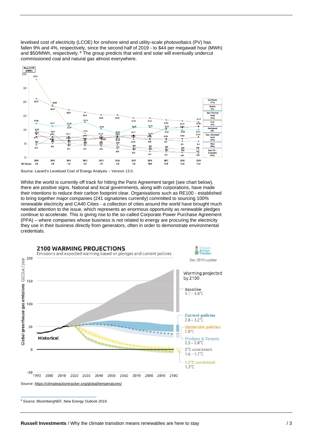levelised cost of electricity (LCOE) for onshore wind and utility-scale photovoltaics (PV) has fallen 9% and 4%, respectively, since the second half of 2019 - to \$44 per megawatt hour (MWh) and \$50/MWh, respectively. <sup>8</sup> The group predicts that wind and solar will eventually undercut commissioned coal and natural gas almost everywhere.



Source: Lazard's Levelized Cost of Energy Analysis – Version 13.0.

Whilst the world is currently off track for hitting the Paris Agreement target (see chart below), there are positive signs. National and local governments, along with corporations, have made their intentions to reduce their carbon footprint clear. Organisations such as RE100 - established to bring together major companies (241 signatories currently) committed to sourcing 100% renewable electricity and CA40 Cities - a collection of cities around the world have brought much needed attention to the issue, which represents an enormous opportunity as renewable pledges continue to accelerate. This is giving rise to the so-called Corporate Power Purchase Agreement (PPA) – where companies whose business is not related to energy are procuring the electricity they use in their business directly from generators, often in order to demonstrate environmental credentials.



<sup>8</sup> Source: BloombergNEF, New Energy Outlook 2019.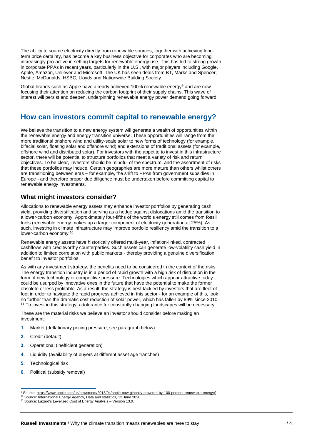The ability to source electricity directly from renewable sources, together with achieving longterm price certainty, has become a key business objective for corporates who are becoming increasingly pro-active in setting targets for renewable energy use. This has led to strong growth in corporate PPAs in recent years, particularly in the U.S., with major players including Google, Apple, Amazon, Unilever and Microsoft. The UK has seen deals from BT, Marks and Spencer, Nestle, McDonalds, HSBC, Lloyds and Nationwide Building Society.

Global brands such as Apple have already achieved 100% renewable energy<sup>9</sup> and are now focusing their attention on reducing the carbon footprint of their supply chains. This wave of interest will persist and deepen, underpinning renewable energy power demand going forward.

# **How can investors commit capital to renewable energy?**

We believe the transition to a new energy system will generate a wealth of opportunities within the renewable energy and energy transition universe. These opportunities will range from the more traditional onshore wind and utility-scale solar to new forms of technology (for example, bifacial solar, floating solar and offshore wind) and extensions of traditional assets (for example, offshore wind and distributed solar). For investors with the appetite to invest in this infrastructure sector, there will be potential to structure portfolios that meet a variety of risk and return objectives. To be clear, investors should be mindful of the spectrum, and the assortment of risks that these portfolios may induce. Certain geographies are more mature than others whilst others are transitioning between eras – for example, the shift to PPAs from government subsidies in Europe - and therefore proper due diligence must be undertaken before committing capital to renewable energy investments.

### **What might investors consider?**

Allocations to renewable energy assets may enhance investor portfolios by generating cash yield, providing diversification and serving as a hedge against dislocations amid the transition to a lower-carbon economy. Approximately four-fifths of the world's energy still comes from fossil fuels (renewable energy makes up a larger component of electricity generation at 25%). As such, investing in climate infrastructure may improve portfolio resiliency amid the transition to a lower-carbon economy.<sup>10</sup>

Renewable energy assets have historically offered multi-year, inflation-linked, contracted cashflows with creditworthy counterparties. Such assets can generate low-volatility cash yield in addition to limited correlation with public markets - thereby providing a genuine diversification benefit to investor portfolios.

As with any investment strategy, the benefits need to be considered in the context of the risks. The energy transition industry is in a period of rapid growth with a high risk of disruption in the form of new technology or competitive pressure. Technologies which appear attractive today could be usurped by innovative ones in the future that have the potential to make the former obsolete or less profitable. As a result, the strategy is best tackled by investors that are fleet of foot in order to navigate the rapid progress achieved in this sector - for an example of this, look no further than the dramatic cost reduction of solar power, which has fallen by 89% since 2010. <sup>11</sup> To invest in this strategy, a tolerance for constantly changing landscapes will be necessary.

These are the material risks we believe an investor should consider before making an investment:

- **1.** Market (deflationary pricing pressure, see paragraph below)
- **2.** Credit (default)
- **3.** Operational (inefficient generation)
- **4.** Liquidity (availability of buyers at different asset age tranches)
- **5.** Technological risk
- **6.** Political (subsidy removal)

<sup>9</sup> Source[: https://www.apple.com/uk/newsroom/2018/04/apple-now-globally-powered-by-100-percent-renewable-energy/\)](https://www.apple.com/uk/newsroom/2018/04/apple-now-globally-powered-by-100-percent-renewable-energy/)

<sup>&</sup>lt;sup>10</sup> Source: International Energy Agency, Data and statistics, 12 June 2020.

<sup>11</sup> Source: Lazard's Levelized Cost of Energy Analysis – Version 13.0.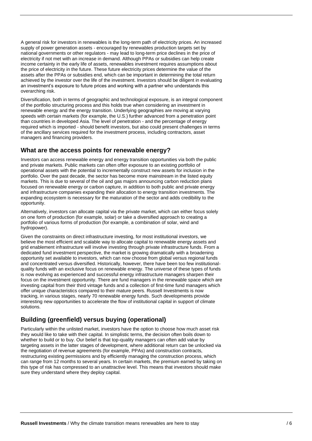A general risk for investors in renewables is the long-term path of electricity prices. An increased supply of power generation assets - encouraged by renewables production targets set by national governments or other regulators - may lead to long-term price declines in the price of electricity if not met with an increase in demand. Although PPAs or subsidies can help create income certainty in the early life of assets, renewables investment requires assumptions about the price of electricity in the future. These future electricity prices determine the value of the assets after the PPAs or subsidies end, which can be important in determining the total return achieved by the investor over the life of the investment. Investors should be diligent in evaluating an investment's exposure to future prices and working with a partner who understands this overarching risk.

Diversification, both in terms of geographic and technological exposure, is an integral component of the portfolio structuring process and this holds true when considering an investment in renewable energy and the energy transition. Underlying geographies are moving at varying speeds with certain markets (for example, the U.S.) further advanced from a penetration point than countries in developed Asia. The level of penetration - and the percentage of energy required which is imported - should benefit investors, but also could present challenges in terms of the ancillary services required for the investment process, including contractors, asset managers and financing providers.

#### **What are the access points for renewable energy?**

Investors can access renewable energy and energy transition opportunities via both the public and private markets. Public markets can often offer exposure to an existing portfolio of operational assets with the potential to incrementally construct new assets for inclusion in the portfolio. Over the past decade, the sector has become more mainstream in the listed equity markets. This is due to several of the oil and gas majors announcing carbon reduction plans focused on renewable energy or carbon capture, in addition to both public and private energy and infrastructure companies expanding their allocation to energy transition investments. The expanding ecosystem is necessary for the maturation of the sector and adds credibility to the opportunity.

Alternatively, investors can allocate capital via the private market, which can either focus solely on one form of production (for example, solar) or take a diversified approach to creating a portfolio of various forms of production (for example, a combination of solar, wind and hydropower).

Given the constraints on direct infrastructure investing, for most institutional investors, we believe the most efficient and scalable way to allocate capital to renewable energy assets and grid enablement infrastructure will involve investing through private infrastructure funds. From a dedicated fund investment perspective, the market is growing dramatically with a broadening opportunity set available to investors, which can now choose from global versus regional funds and concentrated versus diversified. Historically, however, there have been too few institutionalquality funds with an exclusive focus on renewable energy. The universe of these types of funds is now evolving as experienced and successful energy infrastructure managers sharpen their focus on the investment opportunity. There are fund managers in the renewable space which are investing capital from their third vintage funds and a collection of first-time fund managers which offer unique characteristics compared to their mature peers. Russell Investments is now tracking, in various stages, nearly 70 renewable energy funds. Such developments provide interesting new opportunities to accelerate the flow of institutional capital in support of climate solutions.

### **Building (greenfield) versus buying (operational)**

Particularly within the unlisted market, investors have the option to choose how much asset risk they would like to take with their capital. In simplistic terms, the decision often boils down to whether to build or to buy. Our belief is that top-quality managers can often add value by targeting assets in the latter stages of development, where additional return can be unlocked via the negotiation of revenue agreements (for example, PPAs) and construction contracts, restructuring existing permissions and by efficiently managing the construction process, which can range from 12 months to several years. In certain markets, the premium earned by taking on this type of risk has compressed to an unattractive level. This means that investors should make sure they understand where they deploy capital.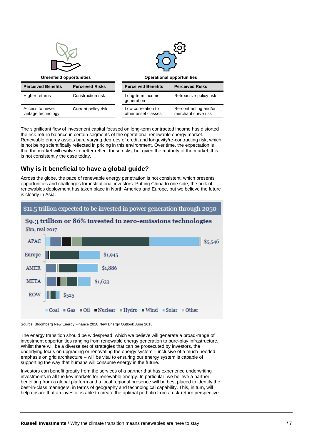| <b>Greenfield opportunities</b>       |                        | <b>Operational opportunities</b>          |                                              |
|---------------------------------------|------------------------|-------------------------------------------|----------------------------------------------|
| <b>Perceived Benefits</b>             | <b>Perceived Risks</b> | <b>Perceived Benefits</b>                 | <b>Perceived Risks</b>                       |
| Higher returns                        | Construction risk      | Long-term income<br>generation            | Retroactive policy risk                      |
| Access to newer<br>vintage technology | Current policy risk    | Low correlation to<br>other asset classes | Re-contracting and/or<br>merchant curve risk |

The significant flow of investment capital focused on long-term contracted income has distorted the risk-return balance in certain segments of the operational renewable energy market. Renewable energy assets bare varying degrees of credit and longevity/re-contracting risk, which is not being scientifically reflected in pricing in this environment. Over time, the expectation is that the market will evolve to better reflect these risks, but given the maturity of the market, this is not consistently the case today.

### **Why is it beneficial to have a global guide?**

Across the globe, the pace of renewable energy penetration is not consistent, which presents opportunities and challenges for institutional investors. Putting China to one side, the bulk of renewables deployment has taken place in North America and Europe, but we believe the future is clearly in Asia.



Source: Bloomberg New Energy Finance 2018 New Energy Outlook June 2018.

The energy transition should be widespread, which we believe will generate a broad-range of investment opportunities ranging from renewable energy generation to pure-play infrastructure. Whilst there will be a diverse set of strategies that can be prosecuted by investors, the underlying focus on upgrading or renovating the energy system – inclusive of a much-needed emphasis on grid architecture – will be vital to ensuring our energy system is capable of supporting the way that humans will consume energy in the future.

Investors can benefit greatly from the services of a partner that has experience underwriting investments in all the key markets for renewable energy. In particular, we believe a partner benefiting from a global platform and a local regional presence will be best placed to identify the best-in-class managers, in terms of geography and technological capability. This, in turn, will help ensure that an investor is able to create the optimal portfolio from a risk-return perspective.